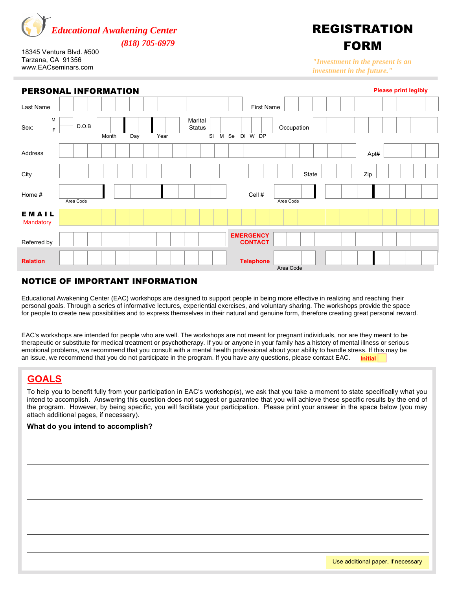

18345 Ventura Blvd. #500 Tarzana, CA 91356 www.EACseminars.com

# REGISTRATION FORM

*"Investment in the present is an Investment in the future" "Investment in the present is an investment in the future."*

| PERSONAL INFORMATION      |           |       |     |      |                                             |                                    | <b>Please print legibly</b> |      |  |  |  |  |  |  |  |
|---------------------------|-----------|-------|-----|------|---------------------------------------------|------------------------------------|-----------------------------|------|--|--|--|--|--|--|--|
| Last Name                 |           |       |     |      |                                             | <b>First Name</b>                  |                             |      |  |  |  |  |  |  |  |
| M<br>Sex:<br>F            | D.O.B     | Month | Day | Year | Marital<br><b>Status</b><br>$\overline{Si}$ | M Se<br>Di W DP                    | Occupation                  |      |  |  |  |  |  |  |  |
| Address                   |           |       |     |      |                                             |                                    |                             | Apt# |  |  |  |  |  |  |  |
| City                      |           |       |     |      |                                             |                                    | State                       | Zip  |  |  |  |  |  |  |  |
| Home #                    | Area Code |       |     |      |                                             | Cell #                             | Area Code                   |      |  |  |  |  |  |  |  |
| EMAIL<br><b>Mandatory</b> |           |       |     |      |                                             |                                    |                             |      |  |  |  |  |  |  |  |
| Referred by               |           |       |     |      |                                             | <b>EMERGENCY</b><br><b>CONTACT</b> |                             |      |  |  |  |  |  |  |  |
| <b>Relation</b>           |           |       |     |      |                                             | <b>Telephone</b>                   | Area Code                   |      |  |  |  |  |  |  |  |

# NOTICE OF IMPORTANT INFORMATION

Educational Awakening Center (EAC) workshops are designed to support people in being more effective in realizing and reaching their personal goals. Through a series of informative lectures, experiential exercises, and voluntary sharing. The workshops provide the space for people to create new possibilities and to express themselves in their natural and genuine form, therefore creating great personal reward. reward.

EAC's workshops are intended for people who are well. The workshops are not meant for pregnant individuals, nor are they meant to be therapeutic or substitute for medical treatment or psychotherapy. If you or anyone in your family has a history of mental illness or serious emotional problems, we recommend that you consult with a mental health professional about your ability to handle stress. If this may be an issue, we recommend that you do not participate in the program. If you have any questions, please contact EAC. Initial

# GOALS **GOALS**

To help you to benefit fully from your participation in EAC's workshop(s), we ask that you take a moment to state specifically what you intend to accomplish. Answering this question does not suggest or guarantee that you will achieve these specific results by the end of the program. However, by being specific, you will facilitate your participation. Please print your answer in the space below (you may attach additional pages, if necessary).

### **What do you intend to accomplish?**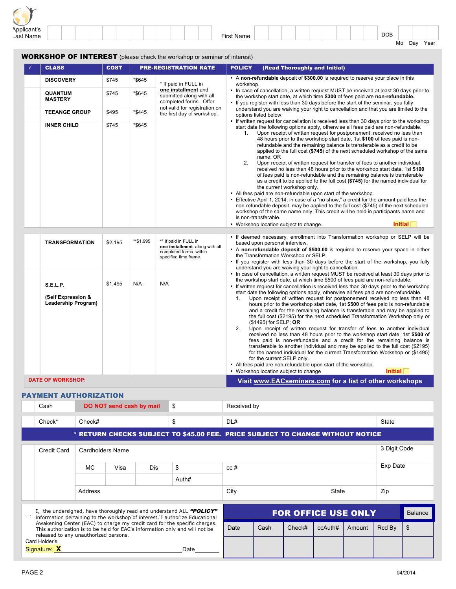| $\overline{\phantom{a}}$<br>$\sim$ |  |  |  |  |  |  |            |  |  |  |  |     |    |     |      |  |
|------------------------------------|--|--|--|--|--|--|------------|--|--|--|--|-----|----|-----|------|--|
| Applicant's<br>Last Name           |  |  |  |  |  |  | First Name |  |  |  |  | DOB |    |     |      |  |
|                                    |  |  |  |  |  |  |            |  |  |  |  |     | Mo | Day | Year |  |

#### WORKSHOP OF INTEREST (please check the workshop or seminar of interest)

| <b>CLASS</b>                                                                                       | <b>COST</b>                      |                                      | <b>PRE-REGISTRATION RATE</b>                                                                                                                                     | <b>POLICY</b>                     | (Read Thoroughly and Initial)                                                                                                                                                                                                                                                                                                                                                                                                                                                                                                                                                                                                                                                                                                                                                                                                                                                                                                                                                                                                                                                                                                                                                                                                                                                                                                                                                                                                                                                                                                                                                                                                                                                                                                                                               |
|----------------------------------------------------------------------------------------------------|----------------------------------|--------------------------------------|------------------------------------------------------------------------------------------------------------------------------------------------------------------|-----------------------------------|-----------------------------------------------------------------------------------------------------------------------------------------------------------------------------------------------------------------------------------------------------------------------------------------------------------------------------------------------------------------------------------------------------------------------------------------------------------------------------------------------------------------------------------------------------------------------------------------------------------------------------------------------------------------------------------------------------------------------------------------------------------------------------------------------------------------------------------------------------------------------------------------------------------------------------------------------------------------------------------------------------------------------------------------------------------------------------------------------------------------------------------------------------------------------------------------------------------------------------------------------------------------------------------------------------------------------------------------------------------------------------------------------------------------------------------------------------------------------------------------------------------------------------------------------------------------------------------------------------------------------------------------------------------------------------------------------------------------------------------------------------------------------------|
| <b>DISCOVERY</b><br><b>QUANTUM</b><br><b>MASTERY</b><br><b>TEEANGE GROUP</b><br><b>INNER CHILD</b> | \$745<br>\$745<br>\$495<br>\$745 | *\$645<br>*\$645<br>*\$445<br>*\$645 | * If paid in FULL in<br>one installment and<br>submitted along with all<br>completed forms. Offer<br>not valid for registration on<br>the first day of workshop. | workshop.<br>1 <sub>1</sub><br>2. | • A non-refundable deposit of \$300.00 is required to reserve your place in this<br>• In case of cancellation, a written request MUST be received at least 30 days prior to<br>the workshop start date, at which time \$300 of fees paid are non-refundable.<br>• If you register with less than 30 days before the start of the seminar, you fully<br>understand you are waiving your right to cancellation and that you are limited to the<br>options listed below.<br>• If written request for cancellation is received less than 30 days prior to the workshop<br>start date the following options apply, otherwise all fees paid are non-refundable.<br>Upon receipt of written request for postponement, received no less than<br>48 hours prior to the workshop start date, 1st \$100 of fees paid is non-<br>refundable and the remaining balance is transferable as a credit to be<br>applied to the full cost $(\$745)$ of the next scheduled workshop of the same<br>name; OR<br>Upon receipt of written request for transfer of fees to another individual,<br>received no less than 48 hours prior to the workshop start date, 1st \$100<br>of fees paid is non-refundable and the remaining balance is transferable<br>as a credit to be applied to the full cost (\$745) for the named individual for<br>the current workshop only.<br>• All fees paid are non-refundable upon start of the workshop.<br>• Effective April 1, 2014, in case of a "no show," a credit for the amount paid less the<br>non-refundable deposit, may be applied to the full cost (\$745) of the next scheduled<br>workshop of the same name only. This credit will be held in participants name and<br>is non-transferable.<br>Initial<br>• Workshop location subject to change. |
| <b>TRANSFORMATION</b><br>S.E.L.P.<br>(Self Expression &<br>Leadership Program)                     | \$2,195<br>\$1,495               | **\$1,995<br>N/A                     | ** If paid in FULL in<br>one installment along with all<br>completed forms within<br>specified time frame.<br>N/A                                                | 1 <sub>1</sub>                    | • If deemed necessary, enrollment into Transformation workshop or SELP will be<br>based upon personal interview.<br>• A non-refundable deposit of \$500.00 is required to reserve your space in either<br>the Transformation Workshop or SELP.<br>• If you register with less than 30 days before the start of the workshop, you fully<br>understand you are waiving your right to cancellation.<br>• In case of cancellation, a written request MUST be received at least 30 days prior to<br>the workshop start date, at which time \$500 of fees paid are non-refundable.<br>• If written request for cancellation is received less than 30 days prior to the workshop<br>start date the following options apply, otherwise all fees paid are non-refundable.<br>Upon receipt of written request for postponement received no less than 48<br>hours prior to the workshop start date, 1st \$500 of fees paid is non-refundable<br>and a credit for the remaining balance is transferable and may be applied to                                                                                                                                                                                                                                                                                                                                                                                                                                                                                                                                                                                                                                                                                                                                                           |
| <b>DATE OF WORKSHOP:</b>                                                                           |                                  |                                      |                                                                                                                                                                  | 2.                                | the full cost (\$2195) for the next scheduled Transformation Workshop only or<br>(\$1495) for SELP; OR<br>Upon receipt of written request for transfer of fees to another individual<br>received no less than 48 hours prior to the workshop start date, 1st \$500 of<br>fees paid is non-refundable and a credit for the remaining balance is<br>transferable to another individual and may be applied to the full cost (\$2195)<br>for the named individual for the current Transformation Workshop or (\$1495)<br>for the current SELP only.<br>• All fees paid are non-refundable upon start of the workshop.<br><b>Initial</b><br>• Workshop location subject to change<br>Visit www.EACseminars.com for a list of other workshops                                                                                                                                                                                                                                                                                                                                                                                                                                                                                                                                                                                                                                                                                                                                                                                                                                                                                                                                                                                                                                     |

#### PAYMENT AUTHORIZATION

| Cash                                  |                  | DO NOT send cash by mail |            | \$                                                                                                                                                       | Received by                                                                    |      |                            |         |        |              |                |  |  |  |  |  |
|---------------------------------------|------------------|--------------------------|------------|----------------------------------------------------------------------------------------------------------------------------------------------------------|--------------------------------------------------------------------------------|------|----------------------------|---------|--------|--------------|----------------|--|--|--|--|--|
| Check*                                | Check#           |                          |            | \$                                                                                                                                                       | DL#                                                                            |      | <b>State</b>               |         |        |              |                |  |  |  |  |  |
|                                       |                  |                          |            |                                                                                                                                                          | * RETURN CHECKS SUBJECT TO \$45.00 FEE. PRICE SUBJECT TO CHANGE WITHOUT NOTICE |      |                            |         |        |              |                |  |  |  |  |  |
| Credit Card                           | Cardholders Name |                          |            |                                                                                                                                                          |                                                                                |      |                            |         |        | 3 Digit Code |                |  |  |  |  |  |
|                                       | MC.              | Visa                     | <b>Dis</b> | \$                                                                                                                                                       | cc#                                                                            |      | Exp Date                   |         |        |              |                |  |  |  |  |  |
|                                       |                  |                          |            | Auth#                                                                                                                                                    |                                                                                |      |                            |         |        |              |                |  |  |  |  |  |
|                                       | Address          |                          |            |                                                                                                                                                          | City                                                                           |      | Zip                        |         |        |              |                |  |  |  |  |  |
|                                       |                  |                          |            | I, the undersigned, have thoroughly read and understand ALL "POLICY"                                                                                     |                                                                                |      |                            |         |        |              |                |  |  |  |  |  |
|                                       |                  |                          |            | information pertaining to the workshop of interest. I authorize Educational                                                                              |                                                                                |      | <b>FOR OFFICE USE ONLY</b> |         |        |              | <b>Balance</b> |  |  |  |  |  |
| released to any unauthorized persons. |                  |                          |            | Awakening Center (EAC) to charge my credit card for the specific charges.<br>This authorization is to be held for EAC's information only and will not be | Date                                                                           | Cash | Check#                     | ccAuth# | Amount | Rcd By       | \$             |  |  |  |  |  |
| Card Holder's<br>Signature: X         |                  |                          |            | Date                                                                                                                                                     |                                                                                |      |                            |         |        |              |                |  |  |  |  |  |
|                                       |                  |                          |            |                                                                                                                                                          |                                                                                |      |                            |         |        |              |                |  |  |  |  |  |